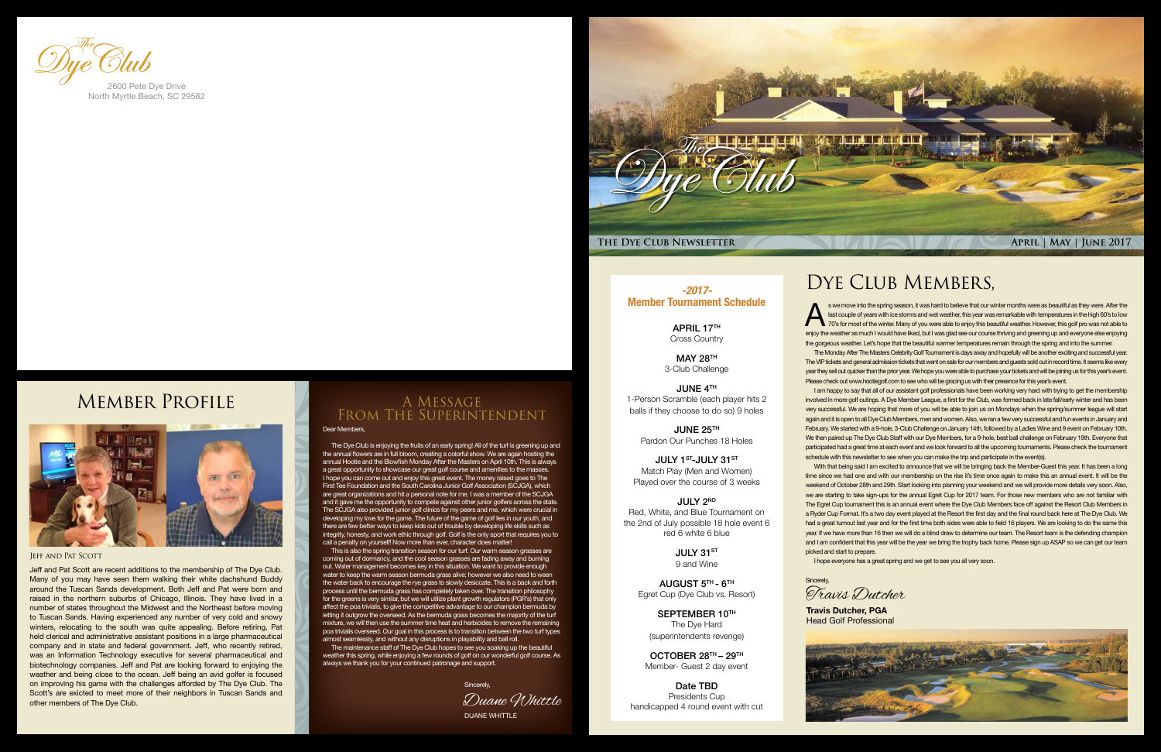

APRIL 17TH Cross Country

#### *-2017-* Member Tournament Schedule

MAY 28TH 3-Club Challenge

JULY 1<sup>ST</sup>-JULY 31ST Match Play (Men and Women) Played over the course of 3 weeks

JUNE 4TH 1-Person Scramble (each player hits 2 balls if they choose to do so) 9 holes

> JULY 31ST 9 and Wine

JUNE 25TH Pardon Our Punches 18 Holes

> SEPTEMBER 10TH The Dye Hard (superintendents revenge)

JULY 2ND Red, White, and Blue Tournament on the 2nd of July possible 18 hole event 6 red 6 white 6 blue

> AUGUST 5TH - 6TH Egret Cup (Dye Club vs. Resort)

OCTOBER 28TH – 29TH Member- Guest 2 day event

Date TBD Presidents Cup handicapped 4 round event with cut

#### Dear Members,

The Dye Club is enjoying the fruits of an early spring! All of the turf is greening up and the annual flowers are in full bloom, creating a colorful show. We are again hosting the annual Hootie and the Blowfish Monday After the Masters on April 10th. This is always a great opportunity to showcase our great golf course and amenities to the masses. I hope you can come out and enjoy this great event. The money raised goes to The First Tee Foundation and the South Carolina Junior Golf Association (SCJGA), which are great organizations and hit a personal note for me. I was a member of the SCJGA and it gave me the opportunity to compete against other junior golfers across the state. The SCJGA also provided junior golf clinics for my peers and me, which were crucial in developing my love for the game. The future of the game of golf lies in our youth, and there are few better ways to keep kids out of trouble by developing life skills such as integrity, honesty, and work ethic through golf. Golf is the only sport that requires you to call a penalty on yourself! Now more than ever, character does matter!

s we move into the spring season, it was hard to believe that our winter months were as beautiful as they were. After the<br>last couple of years with ice storms and wet weather, this year was remarkable with temperatures in last couple of years with ice storms and wet weather, this year was remarkable with temperatures in the high 60's to low 70's for most of the winter. Many of you were able to enjoy this beautiful weather. However, this golf pro was not able to enjoy the weather as much I would have liked, but I was glad see our course thriving and greening up and everyone else enjoying the gorgeous weather. Let's hope that the beautiful warmer temperatures remain through the spring and into the summer.

The Monday After The Masters Celebrity Golf Tournament is days away and hopefully will be another exciting and successful year. The VIP tickets and general admission tickets that went on sale for our members and guests sold out in record time. It seems like every year they sell out quicker than the prior year. We hope you were able to purchase your tickets and will be joining us for this year's event. Please check out www.hootiegolf.com to see who will be gracing us with their presence for this year's event.

This is also the spring transition season for our turf. Our warm season grasses are coming out of dormancy, and the cool season grasses are fading away and burning out. Water management becomes key in this situation. We want to provide enough water to keep the warm season bermuda grass alive; however we also need to ween the water back to encourage the rye grass to slowly desiccate. This is a back and forth process until the bermuda grass has completely taken over. The transition philosophy for the greens is very similar, but we will utilize plant growth regulators (PGR's) that only affect the poa trivialis, to give the competitive advantage to our champion bermuda by letting it outgrow the overseed. As the bermuda grass becomes the majority of the turf mixture, we will then use the summer time heat and herbicides to remove the remaining poa trivialis overseed. Our goal in this process is to transition between the two turf types almost seamlessly, and without any disruptions in playability and ball roll.

I am happy to say that all of our assistant golf professionals have been working very hard with trying to get the membership involved in more golf outings. A Dye Member League, a first for the Club, was formed back in late fall/early winter and has been very successful. We are hoping that more of you will be able to join us on Mondays when the spring/summer league will start again and it is open to all Dye Club Members, men and women. Also, we ran a few very successful and fun events in January and February. We started with a 9-hole, 3-Club Challenge on January 14th, followed by a Ladies Wine and 9 event on February 10th. We then paired up The Dye Club Staff with our Dye Members, for a 9-hole, best ball challenge on February 19th. Everyone that participated had a great time at each event and we look forward to all the upcoming tournaments. Please check the tournament schedule with this newsletter to see when you can make the trip and participate in the event(s).

The maintenance staff of The Dye Club hopes to see you soaking up the beautiful weather this spring, while enjoying a few rounds of golf on our wonderful golf course. As always we thank you for your continued patronage and support.

### A Message From The Superintendent

With that being said I am excited to announce that we will be bringing back the Member-Guest this year. It has been a long time since we had one and with our membership on the rise it's time once again to make this an annual event. It will be the weekend of October 28th and 29th. Start looking into planning your weekend and we will provide more details very soon. Also, we are starting to take sign-ups for the annual Egret Cup for 2017 team. For those new members who are not familiar with The Egret Cup tournament this is an annual event where the Dye Club Members face off against the Resort Club Members in a Ryder Cup Format. It's a two day event played at the Resort the first day and the final round back here at The Dye Club. We had a great turnout last year and for the first time both sides were able to field 16 players. We are looking to do the same this year. If we have more than 16 then we will do a blind draw to determine our team. The Resort team is the defending champion and I am confident that this year will be the year we bring the trophy back home. Please sign up ASAP so we can get our team picked and start to prepare. I hope everyone has a great spring and we get to see you all very soon.

**Sincerely** 

Duane Whittle Sincerely,

**Travis Dutcher, PGA** Head Golf Professional



## DYE CLUB MEMBERS,

#### Jeff and Pat Scott

Jeff and Pat Scott are recent additions to the membership of The Dye Club. Many of you may have seen them walking their white dachshund Buddy around the Tuscan Sands development. Both Jeff and Pat were born and raised in the northern suburbs of Chicago, Illinois. They have lived in a number of states throughout the Midwest and the Northeast before moving to Tuscan Sands. Having experienced any number of very cold and snowy winters, relocating to the south was quite appealing. Before retiring, Pat held clerical and administrative assistant positions in a large pharmaceutical company and in state and federal government. Jeff, who recently retired, was an Information Technology executive for several pharmaceutical and biotechnology companies. Jeff and Pat are looking forward to enjoying the weather and being close to the ocean. Jeff being an avid golfer is focused on improving his game with the challenges afforded by The Dye Club. The Scott's are exicted to meet more of their neighbors in Tuscan Sands and other members of The Dye Club.



North Myrtle Beach, SC 29582

## Member Profile



Travis Dutcher